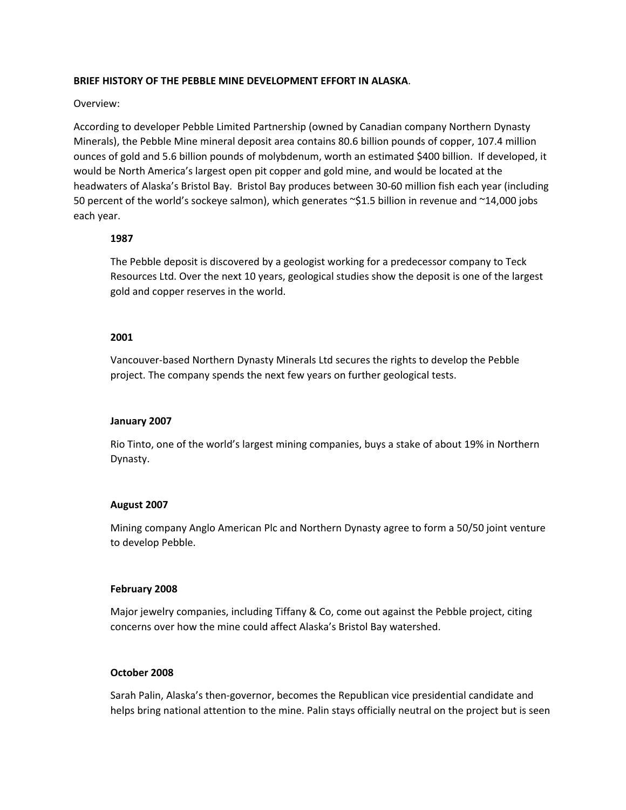## **BRIEF HISTORY OF THE PEBBLE MINE DEVELOPMENT EFFORT IN ALASKA**.

## Overview:

According to developer Pebble Limited Partnership (owned by Canadian company Northern Dynasty Minerals), the Pebble Mine mineral deposit area contains 80.6 billion pounds of copper, 107.4 million ounces of gold and 5.6 billion pounds of molybdenum, worth an estimated \$400 billion. If developed, it would be North America's largest open pit copper and gold mine, and would be located at the headwaters of Alaska's Bristol Bay. Bristol Bay produces between 30‐60 million fish each year (including 50 percent of the world's sockeye salmon), which generates ~\$1.5 billion in revenue and ~14,000 jobs each year.

## **1987**

The Pebble deposit is discovered by a geologist working for a predecessor company to Teck Resources Ltd. Over the next 10 years, geological studies show the deposit is one of the largest gold and copper reserves in the world.

## **2001**

Vancouver‐based Northern Dynasty Minerals Ltd secures the rights to develop the Pebble project. The company spends the next few years on further geological tests.

### **January 2007**

Rio Tinto, one of the world's largest mining companies, buys a stake of about 19% in Northern Dynasty.

### **August 2007**

Mining company Anglo American Plc and Northern Dynasty agree to form a 50/50 joint venture to develop Pebble.

### **February 2008**

Major jewelry companies, including Tiffany & Co, come out against the Pebble project, citing concerns over how the mine could affect Alaska's Bristol Bay watershed.

# **October 2008**

Sarah Palin, Alaska's then‐governor, becomes the Republican vice presidential candidate and helps bring national attention to the mine. Palin stays officially neutral on the project but is seen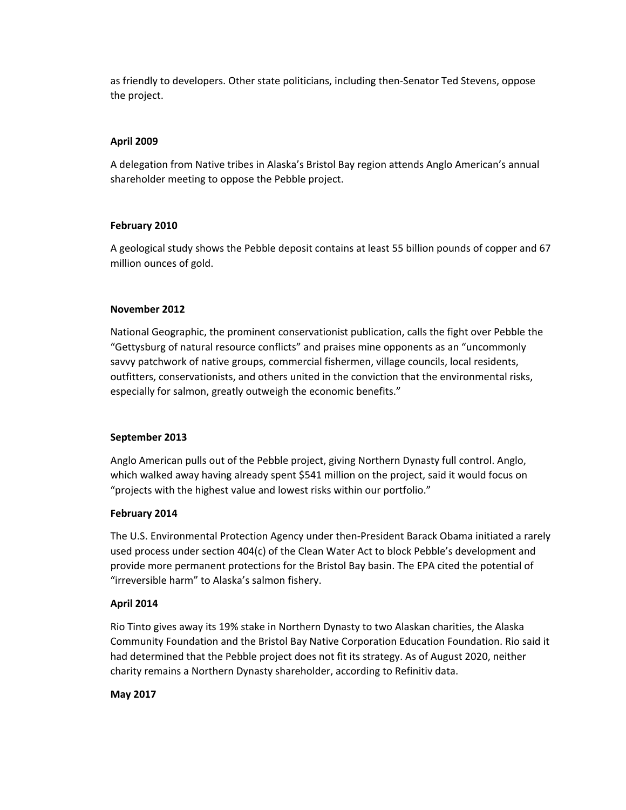as friendly to developers. Other state politicians, including then‐Senator Ted Stevens, oppose the project.

# **April 2009**

A delegation from Native tribes in Alaska's Bristol Bay region attends Anglo American's annual shareholder meeting to oppose the Pebble project.

# **February 2010**

A geological study shows the Pebble deposit contains at least 55 billion pounds of copper and 67 million ounces of gold.

# **November 2012**

National Geographic, the prominent conservationist publication, calls the fight over Pebble the "Gettysburg of natural resource conflicts" and praises mine opponents as an "uncommonly savvy patchwork of native groups, commercial fishermen, village councils, local residents, outfitters, conservationists, and others united in the conviction that the environmental risks, especially for salmon, greatly outweigh the economic benefits."

# **September 2013**

Anglo American pulls out of the Pebble project, giving Northern Dynasty full control. Anglo, which walked away having already spent \$541 million on the project, said it would focus on "projects with the highest value and lowest risks within our portfolio."

# **February 2014**

The U.S. Environmental Protection Agency under then‐President Barack Obama initiated a rarely used process under section 404(c) of the Clean Water Act to block Pebble's development and provide more permanent protections for the Bristol Bay basin. The EPA cited the potential of "irreversible harm" to Alaska's salmon fishery.

# **April 2014**

Rio Tinto gives away its 19% stake in Northern Dynasty to two Alaskan charities, the Alaska Community Foundation and the Bristol Bay Native Corporation Education Foundation. Rio said it had determined that the Pebble project does not fit its strategy. As of August 2020, neither charity remains a Northern Dynasty shareholder, according to Refinitiv data.

# **May 2017**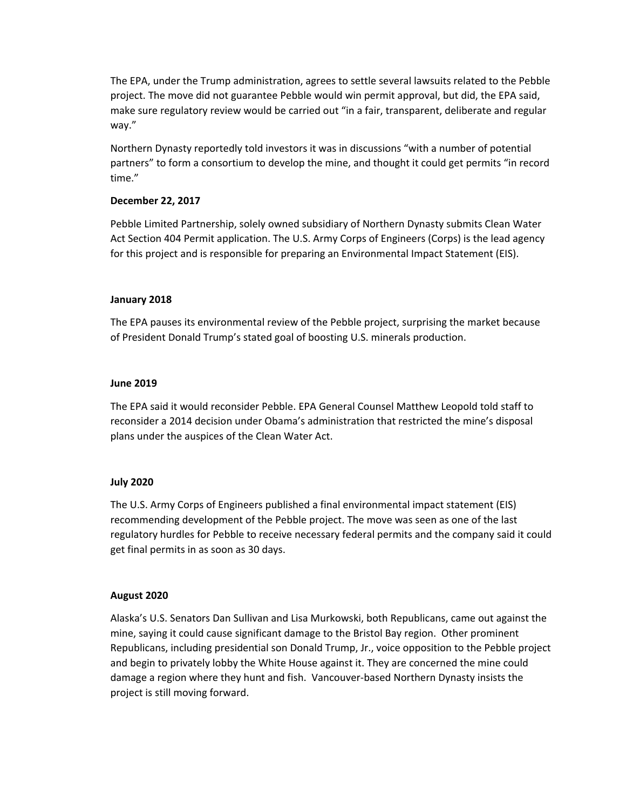The EPA, under the Trump administration, agrees to settle several lawsuits related to the Pebble project. The move did not guarantee Pebble would win permit approval, but did, the EPA said, make sure regulatory review would be carried out "in a fair, transparent, deliberate and regular way."

Northern Dynasty reportedly told investors it was in discussions "with a number of potential partners" to form a consortium to develop the mine, and thought it could get permits "in record time."

## **December 22, 2017**

Pebble Limited Partnership, solely owned subsidiary of Northern Dynasty submits Clean Water Act Section 404 Permit application. The U.S. Army Corps of Engineers (Corps) is the lead agency for this project and is responsible for preparing an Environmental Impact Statement (EIS).

## **January 2018**

The EPA pauses its environmental review of the Pebble project, surprising the market because of President Donald Trump's stated goal of boosting U.S. minerals production.

## **June 2019**

The EPA said it would reconsider Pebble. EPA General Counsel Matthew Leopold told staff to reconsider a 2014 decision under Obama's administration that restricted the mine's disposal plans under the auspices of the Clean Water Act.

# **July 2020**

The U.S. Army Corps of Engineers published a final environmental impact statement (EIS) recommending development of the Pebble project. The move was seen as one of the last regulatory hurdles for Pebble to receive necessary federal permits and the company said it could get final permits in as soon as 30 days.

### **August 2020**

Alaska's U.S. Senators Dan Sullivan and Lisa Murkowski, both Republicans, came out against the mine, saying it could cause significant damage to the Bristol Bay region. Other prominent Republicans, including presidential son Donald Trump, Jr., voice opposition to the Pebble project and begin to privately lobby the White House against it. They are concerned the mine could damage a region where they hunt and fish. Vancouver‐based Northern Dynasty insists the project is still moving forward.